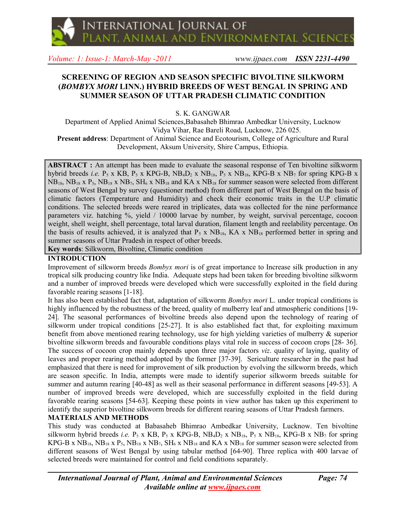*Volume: 1: Issue-1: March-May -2011 www.ijpaes.com ISSN 2231-4490*

# **SCREENING OF REGION AND SEASON SPECIFIC BIVOLTINE SILKWORM (***BOMBYX MORI* **LINN.) HYBRID BREEDS OF WEST BENGAL IN SPRING AND SUMMER SEASON OF UTTAR PRADESH CLIMATIC CONDITION**

S. K. GANGWAR

Department of Applied Animal Sciences,Babasaheb Bhimrao Ambedkar University, Lucknow Vidya Vihar, Rae Bareli Road, Lucknow, 226 025. **Present address**: Department of Animal Science and Ecotourism, College of Agriculture and Rural

Development, Aksum University, Shire Campus, Ethiopia.

**ABSTRACT :** An attempt has been made to evaluate the seasonal response of Ten bivoltine silkworm hybrid breeds *i.e.* P<sub>5</sub> x KB, P<sub>5</sub> x KPG-B, NB<sub>4</sub>D<sub>2</sub> x NB<sub>18</sub>, P<sub>5</sub> x NB<sub>18</sub>, KPG-B x NB<sub>7</sub> for spring KPG-B x NB18, NB18 x P5, NB18 x NB7, SH6 x NB18 and KA x NB18 for summer season were selected from different seasons of West Bengal by survey (questioner method) from different part of West Bengal on the basis of climatic factors (Temperature and Humidity) and check their economic traits in the U.P climatic conditions. The selected breeds were reared in triplicates, data was collected for the nine performance parameters viz. hatching %, yield / 10000 larvae by number, by weight, survival percentage, cocoon weight, shell weight, shell percentage, total larval duration, filament length and reelability percentage. On the basis of results achieved, it is analyzed that  $P_5$  x  $NB_{18}$ , KA x  $NB_{18}$  performed better in spring and summer seasons of Uttar Pradesh in respect of other breeds. **Key words**: Silkworm, Bivoltine, Climatic condition

# **INTRODUCTION**

Improvement of silkworm breeds *Bombyx mori* is of great importance to Increase silk production in any tropical silk producing country like India. Adequate steps had been taken for breeding bivoltine silkworm and a number of improved breeds were developed which were successfully exploited in the field during favorable rearing seasons [1-18].

It has also been established fact that, adaptation of silkworm *Bombyx mori* L. under tropical conditions is highly influenced by the robustness of the breed, quality of mulberry leaf and atmospheric conditions [19-24]. The seasonal performances of bivoltine breeds also depend upon the technology of rearing of silkworm under tropical conditions [25-27]. It is also established fact that, for exploiting maximum benefit from above mentioned rearing technology, use for high yielding varieties of mulberry & superior bivoltine silkworm breeds and favourable conditions plays vital role in success of cocoon crops [28- 36]. The success of cocoon crop mainly depends upon three major factors *viz*. quality of laying, quality of leaves and proper rearing method adopted by the former [37-39]. Sericulture researcher in the past had emphasized that there is need for improvement of silk production by evolving the silkworm breeds, which are season specific. In India, attempts were made to identify superior silkworm breeds suitable for summer and autumn rearing [40-48] as well as their seasonal performance in different seasons [49-53]. A number of improved breeds were developed, which are successfully exploited in the field during favorable rearing seasons [54-63]. Keeping these points in view author has taken up this experiment to identify the superior bivoltine silkworm breeds for different rearing seasons of Uttar Pradesh farmers.

# **MATERIALS AND METHODS**

This study was conducted at Babasaheb Bhimrao Ambedkar University, Lucknow. Ten bivoltine silkworm hybrid breeds *i.e.* P<sub>5</sub> x KB, P<sub>5</sub> x KPG-B,  $NB_4D_2$  x  $NB_{18}$ , P<sub>5</sub> x  $NB_{18}$ , KPG-B x  $NB_7$  for spring KPG-B x  $NB_{18}$ ,  $NB_{18}$  x  $P_5$ ,  $NB_{18}$  x  $NB_7$ ,  $SH_6$  x  $NB_{18}$  and KA x  $NB_{18}$  for summer season were selected from different seasons of West Bengal by using tabular method [64-90]. Three replica with 400 larvae of selected breeds were maintained for control and field conditions separately.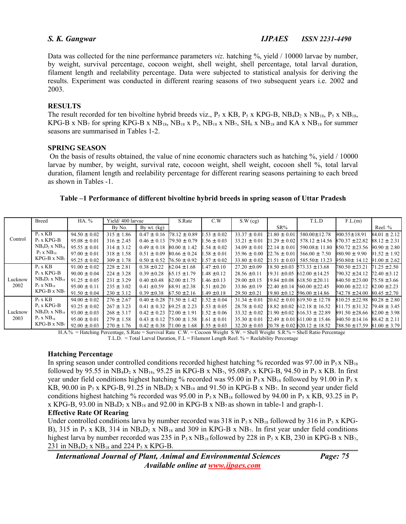Data was collected for the nine performance parameters *viz*. hatching %, yield / 10000 larvae by number, by weight, survival percentage, cocoon weight, shell weight, shell percentage, total larval duration, filament length and reelability percentage. Data were subjected to statistical analysis for deriving the results. Experiment was conducted in different rearing seasons of two subsequent years i.e. 2002 and 2003.

### **RESULTS**

The result recorded for ten bivoltine hybrid breeds viz.,  $P_5$  x KB,  $P_5$  x KPG-B, NB<sub>4</sub>D<sub>2</sub> x NB<sub>18</sub>,  $P_5$  x NB<sub>18</sub>, KPG-B x NB<sub>7</sub> for spring KPG-B x NB<sub>18</sub>, NB<sub>18</sub> x P<sub>5</sub>, NB<sub>18</sub> x NB<sub>7</sub>, SH<sub>6</sub> x NB<sub>18</sub> and KA x NB<sub>18</sub> for summer seasons are summarised in Tables 1-2.

### **SPRING SEASON**

On the basis of results obtained, the value of nine economic characters such as hatching %, yield / 10000 larvae by number, by weight, survival rate, cocoon weight, shell weight, cocoon shell %, total larval duration, filament length and reelability percentage for different rearing seasons pertaining to each breed as shown in Tables -1.

| Table –1 Performance of different bivoltine hybrid breeds in spring season of Uttar Pradesh |  |  |
|---------------------------------------------------------------------------------------------|--|--|
|                                                                                             |  |  |

|                 | <b>Breed</b>          | HA. %             | Yield/400 larvae |                                  | S.Rate           | C.W             | S.W(cg)          |                  | T.L.D                                                | F.L.(m)                             |                  |
|-----------------|-----------------------|-------------------|------------------|----------------------------------|------------------|-----------------|------------------|------------------|------------------------------------------------------|-------------------------------------|------------------|
| Control         |                       |                   | By No.           | By wt. $(kg)$                    |                  |                 |                  | $SR\%$           |                                                      |                                     | Reel. %          |
|                 | $P_5$ x KB            | $94.50 \pm 0.02$  | $315 \pm 1.86$   | $0.47 \pm 0.16$                  | $78.12 \pm 0.89$ | $1.53 \pm 0.02$ | $33.37 \pm 0.01$ | $21.80 \pm 0.01$ | 580.00±12.78                                         | $900.55 \pm 18.91$                  | $84.01 \pm 2.12$ |
|                 | $P_5$ x KPG-B         | $95.08 \pm 0.01$  | $316 \pm 2.45$   | $0.46 \pm 0.13$                  | $79.50 \pm 0.79$ | $1.56 \pm 0.03$ | $33.21 \pm 0.01$ | $21.29 \pm 0.02$ | $578.12 \pm 14.56$                                   | $870.37 \pm 22.82$                  | $88.12 \pm 2.31$ |
|                 | $NB_4D_2$ x $NB_{18}$ | $95.55 \pm 0.01$  | $314 \pm 3.12$   | $0.49 \pm 0.18$                  | $80.00 \pm 1.42$ | $1.54 \pm 0.02$ | $34.09 \pm 0.01$ | $22.14 \pm 0.01$ | 590.08± 11.80                                        | $850.72 \pm 23.56$                  | $90.90 \pm 2.80$ |
|                 | $P_5$ x $NB_{18}$     | $97.00 \pm 0.01$  | $318 \pm 1.58$   | $0.51 \pm 0.09$                  | $80.66 \pm 0.24$ | $1.58 \pm 0.01$ | $35.96 \pm 0.00$ | $22.76 \pm 0.01$ | $566.00 \pm 7.50$                                    | $980.90 \pm 9.90$                   | $91.52 \pm 1.92$ |
|                 | $KPG-B \times NB_7$   | $95.25 \pm 0.02$  | $309 \pm 1.78$   | $0.50 \pm 0.52$                  | $76.50 \pm 0.92$ | $1.57 \pm 0.02$ | $33.80 \pm 0.02$ | $21.51 \pm 0.03$ | 585.50± 13.23                                        | $950.80 \pm 14.12$                  | $91.00 \pm 2.62$ |
| Lucknow<br>2002 | $P_5$ x KB            | $91.00 \pm 0.02$  | $228 \pm 2.81$   | $0.38 \pm 0.22$                  | $62.04 \pm 1.68$ | $1.47 \pm 0.10$ | $27.20 \pm 0.09$ |                  | $18.50 \pm 0.03$ 573.33 $\pm$ 13.68                  | $780.50 \pm 23.21$                  | $71.25 \pm 2.50$ |
|                 | $P_5$ x KPG-B         | $90.00 \pm 0.04$  | $224 \pm 3.28$   | $0.39 \pm 0.28$                  | $65.15 \pm 1.79$ | $1.48 \pm 0.12$ | $28.56 \pm 0.11$ |                  | $19.31 \pm 0.05$ 612.00 $\pm$ 14.25                  | 790.32 ± 24.12                      | $72.40 \pm 3.12$ |
|                 | $NB_4D_2$ x $NB_{18}$ | $91.25 \pm 0.05$  | $231 \pm 3.29$   | $0.40 \pm 0.48$                  | $62.00 \pm 1.75$ | $1.46 \pm 0.13$ | $29.00 \pm 0.15$ |                  | $19.84 \pm 0.08$ 618.50 $\pm$ 20.11                  | $840.50 \pm 23.00$ 75.58 ± 3.66     |                  |
|                 | $P_5$ x $NB_{18}$     | $95.00 \pm 0.11$  | $235 \pm 3.02$   | $0.41 \pm 0.59$                  | $68.91 \pm 2.38$ | $1.51 \pm 0.20$ | $33.86 \pm 0.19$ |                  | $22.40 \pm 0.14$ 560.00 $\pm$ 22.45                  | $900.00 \pm 22.12$                  | $82.00 \pm 2.23$ |
|                 | $KPG-B \times NB_7$   | $91.50 \pm 0.04$  | $230 \pm 3.12$   | $0.39 \pm 0.38$                  | $67.50 \pm 2.16$ | $1.49 \pm 0.18$ | $29.50 \pm 0.21$ |                  | $19.80 \pm 0.12$ 596.00 ± 14.86                      | $742.78 \pm 24.00$ 80.45 $\pm$ 2.70 |                  |
| Lucknow<br>2003 | $P_5$ x KB            | $94.00 \pm 0.02$  | $276 \pm 2.67$   | $0.40 \pm 0.28$                  | $71.50 \pm 1.42$ | $1.52 \pm 0.04$ | $31.34 \pm 0.01$ |                  | $20.62 \pm 0.01619.50 \pm 12.78$                     | $810.25 \pm 22.98$ $80.28 \pm 2.80$ |                  |
|                 | $P_5$ x KPG-B         | $93.25 \pm 0.02$  | $267 \pm 3.23$   | $0.41 \pm 0.32$                  | $69.25 \pm 2.23$ | $1.53 \pm 0.05$ | $28.78 \pm 0.02$ |                  | $18.82 \pm 0.02$ 612.18 $\pm$ 16.52                  | $811.75 \pm 31.32$                  | $79.48 \pm 3.45$ |
|                 | $NB_4D_2$ x $NB_{18}$ | $93.00 \pm .0.03$ | $268 \pm 3.17$   | $0.42 \pm 0.23$                  | $72.00 \pm 1.91$ | $1.52 \pm 0.06$ | $33.32 \pm 0.02$ |                  | $21.90 \pm 0.02$ 616.33 ± 22.89                      | $891.50 \pm 28.66$                  | $82.00 \pm 3.98$ |
|                 | $P_5$ x $NB_{18}$     | $95.00 \pm 0.01$  | $279 \pm 1.58$   | $0.43 \pm 0.12$                  | $75.00 \pm 1.58$ | $1.61 \pm 0.01$ | $35.30 \pm 0.01$ |                  | $22.49 \pm 0.01611.00 \pm 15.46$                     | $940.50 \pm 14.16$                  | $88.42 \pm 2.11$ |
|                 | $KPG-B \times NB_7$   | $92.00 \pm .0.03$ | $270 \pm 1.76$   | $0.42 \pm 0.38$ 71.00 $\pm$ 1.68 |                  | $1.55 \pm 0.03$ |                  |                  | $32.20 \pm 0.03$ 20.78 $\pm$ 0.02 620.12 $\pm$ 18.52 | $788.50 \pm 17.59$ 81.00 ± 3.79     |                  |

H.A.% = Hatching Percentage, S.Rate = Survival Rate C.W. = Cocoon Weight S.W. = Shell Weight S.R.% = Shell Ratio Percentage  $T.L.D. = Total Larval Duration, F.L = Filament Length Reel. % = Reelability Percentage$ 

### **Hatching Percentage**

In spring season under controlled conditions recorded highest hatching % recorded was 97.00 in  $P_5 x NB_{18}$ followed by 95.55 in  $NB_4D_2$  x  $NB_{18}$ , 95.25 in KPG-B x  $NB_7$ , 95.08P<sub>5</sub> x KPG-B, 94.50 in P<sub>5</sub> x KB. In first year under field conditions highest hatching % recorded was 95.00 in  $P_5 x NB_{18}$  followed by 91.00 in  $P_5 x$ KB, 90.00 in  $P_5$  x KPG-B, 91.25 in  $N\text{B}_{12}$  x  $N\text{B}_{18}$  and 91.50 in KPG-B x  $N\text{B}_7$ . In second year under field conditions highest hatching % recorded was 95.00 in  $P_5$  x NB<sub>18</sub> followed by 94.00 in  $P_5$  x KB, 93.25 in  $P_5$ x KPG-B, 93.00 in  $NB_4D_2$  x  $NB_{18}$  and 92.00 in KPG-B x  $NB_7$  as shown in table-1 and graph-1.

### **Effective Rate Of Rearing**

Under controlled conditions larva by number recorded was 318 in  $P_5 x NB_{18}$  followed by 316 in  $P_5 x KPG$ -B), 315 in  $P_5$  x KB, 314 in  $NB_4D_2$  x  $NB_{18}$  and 309 in KPG-B x  $NB_7$ . In first year under field conditions highest larva by number recorded was 235 in  $P_5x$  NB<sub>18</sub> followed by 228 in  $P_5x$  KB, 230 in KPG-B x NB<sub>7</sub>, 231 in  $NB_4D_2$  x  $NB_{18}$  and 224  $P_5$  x KPG-B.

*International Journal of Plant, Animal and Environmental Sciences Page: 75 Available online at [www.ijpaes.com](http://www.ijpaes.com/)*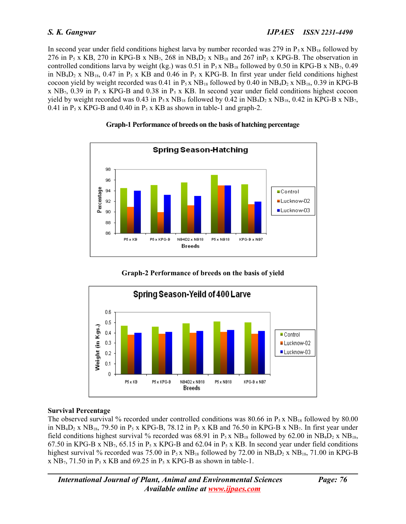In second year under field conditions highest larva by number recorded was 279 in  $P_5x NB_{18}$  followed by 276 in  $P_5$  x KB, 270 in KPG-B x NB<sub>7</sub>, 268 in NB<sub>4</sub>D<sub>2</sub> x NB<sub>18</sub> and 267 inP<sub>5</sub> x KPG-B. The observation in controlled conditions larva by weight (kg.) was 0.51 in  $P_5 x NB_{18}$  followed by 0.50 in KPG-B x NB<sub>7</sub>, 0.49 in NB<sub>4</sub>D<sub>2</sub> x NB<sub>18</sub>, 0.47 in P<sub>5</sub> x KB and 0.46 in P<sub>5</sub> x KPG-B. In first year under field conditions highest cocoon yield by weight recorded was 0.41 in  $P_5 x NB_{18}$  followed by 0.40 in  $NB_4D_2 x NB_{18}$ , 0.39 in KPG-B x NB<sub>7</sub>, 0.39 in P<sub>5</sub> x KPG-B and 0.38 in P<sub>5</sub> x KB. In second year under field conditions highest cocoon yield by weight recorded was 0.43 in  $P_5 x NB_{18}$  followed by 0.42 in  $NB_4D_2 x NB_{18}$ , 0.42 in KPG-B x NB<sub>7</sub>, 0.41 in  $P_5$  x KPG-B and 0.40 in  $P_5$  x KB as shown in table-1 and graph-2.

# **Graph-1 Performance of breeds on the basis of hatching percentage**



**Graph-2 Performance of breeds on the basis of yield**



# **Survival Percentage**

The observed survival % recorded under controlled conditions was 80.66 in  $P_5 x NB_{18}$  followed by 80.00 in  $NB_4D_2$  x  $NB_{18}$ , 79.50 in P<sub>5</sub> x KPG-B, 78.12 in P<sub>5</sub> x KB and 76.50 in KPG-B x  $NB_7$ . In first year under field conditions highest survival % recorded was 68.91 in  $P_5 x NB_{18}$  followed by 62.00 in  $NB_4D_2 x NB_{18}$ , 67.50 in KPG-B x NB<sub>7</sub>, 65.15 in P<sub>5</sub> x KPG-B and 62.04 in P<sub>5</sub> x KB. In second year under field conditions highest survival % recorded was 75.00 in  $P_5 x NB_{18}$  followed by 72.00 in  $NB_4D_2 x NB_{18}$ , 71.00 in KPG-B x  $NB_7$ , 71.50 in P<sub>5</sub> x KB and 69.25 in P<sub>5</sub> x KPG-B as shown in table-1.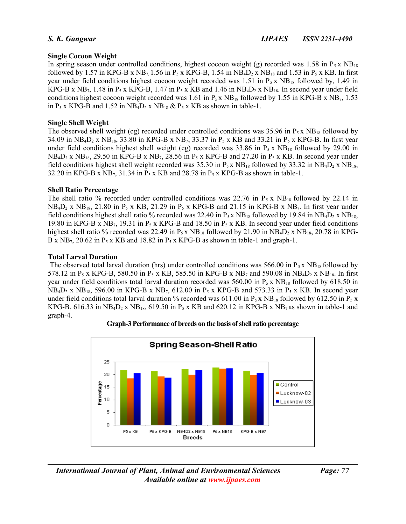# **Single Cocoon Weight**

In spring season under controlled conditions, highest cocoon weight (g) recorded was 1.58 in  $P_5 x NB_{18}$ followed by 1.57 in KPG-B x NB<sub>7</sub>, 1.56 in P<sub>5</sub> x KPG-B, 1.54 in NB<sub>4</sub>D<sub>2</sub> x NB<sub>18</sub> and 1.53 in P<sub>5</sub> x KB. In first year under field conditions highest cocoon weight recorded was 1.51 in  $P_5 x N B_{18}$  followed by, 1.49 in KPG-B x NB<sub>7</sub>, 1.48 in P<sub>5</sub> x KPG-B, 1.47 in P<sub>5</sub> x KB and 1.46 in NB<sub>4</sub>D<sub>2</sub> x NB<sub>18</sub>. In second year under field conditions highest cocoon weight recorded was 1.61 in  $P_5 x NB_{18}$  followed by 1.55 in KPG-B x NB<sub>7</sub>, 1.53 in  $P_5$  x KPG-B and 1.52 in NB<sub>4</sub>D<sub>2</sub> x NB<sub>18</sub> &  $P_5$  x KB as shown in table-1.

# **Single Shell Weight**

The observed shell weight (cg) recorded under controlled conditions was 35.96 in  $P_5 x NB_{18}$  followed by 34.09 in  $NB_4D_2$  x  $NB_{18}$ , 33.80 in KPG-B x  $NB_7$ , 33.37 in P<sub>5</sub> x KB and 33.21 in P<sub>5</sub> x KPG-B. In first year under field conditions highest shell weight (cg) recorded was 33.86 in  $P_5$  x  $NB_{18}$  followed by 29.00 in  $NB_4D_2$  x  $NB_{18}$ , 29.50 in KPG-B x  $NB_7$ , 28.56 in P<sub>5</sub> x KPG-B and 27.20 in P<sub>5</sub> x KB. In second year under field conditions highest shell weight recorded was  $35.30$  in  $P_5$  x NB<sub>18</sub> followed by  $33.32$  in NB<sub>4</sub>D<sub>2</sub> x NB<sub>18</sub>, 32.20 in KPG-B x  $NB_7$ , 31.34 in P<sub>5</sub> x KB and 28.78 in P<sub>5</sub> x KPG-B as shown in table-1.

# **Shell Ratio Percentage**

The shell ratio % recorded under controlled conditions was 22.76 in  $P_5$  x NB<sub>18</sub> followed by 22.14 in  $NB_4D_2$  x  $NB_{18}$ , 21.80 in P<sub>5</sub> x KB, 21.29 in P<sub>5</sub> x KPG-B and 21.15 in KPG-B x NB<sub>7</sub>. In first year under field conditions highest shell ratio % recorded was 22.40 in  $P_5x$  NB<sub>18</sub> followed by 19.84 in NB<sub>4</sub>D<sub>2</sub> x NB<sub>18</sub>, 19.80 in KPG-B x NB<sub>7</sub>, 19.31 in P<sub>5</sub> x KPG-B and 18.50 in P<sub>5</sub> x KB. In second year under field conditions highest shell ratio % recorded was 22.49 in  $P_5 x NB_{18}$  followed by 21.90 in  $NB_4D_2 x NB_{18}$ , 20.78 in KPG-B x NB<sub>7</sub>, 20.62 in P<sub>5</sub> x KB and 18.82 in P<sub>5</sub> x KPG-B as shown in table-1 and graph-1.

### **Total Larval Duration**

The observed total larval duration (hrs) under controlled conditions was 566.00 in  $P_5 x N B_{18}$  followed by 578.12 in P<sub>5</sub> x KPG-B, 580.50 in P<sub>5</sub> x KB, 585.50 in KPG-B x NB<sub>7</sub> and 590.08 in NB<sub>4</sub>D<sub>2</sub> x NB<sub>18</sub>. In first year under field conditions total larval duration recorded was 560.00 in  $P_5 x NB_{18}$  followed by 618.50 in  $NB_4D_2$  x  $NB_{18}$ , 596.00 in KPG-B x  $NB_7$ , 612.00 in P<sub>5</sub> x KPG-B and 573.33 in P<sub>5</sub> x KB. In second year under field conditions total larval duration % recorded was 611.00 in  $P_5 x NB_{18}$  followed by 612.50 in  $P_5 x$ KPG-B, 616.33 in NB<sub>4</sub>D<sub>2</sub> x NB<sub>18</sub>, 619.50 in P<sub>5</sub> x KB and 620.12 in KPG-B x NB<sub>7</sub> as shown in table-1 and graph-4.



**Graph-3 Performance of breeds on the basis of shell ratio percentage**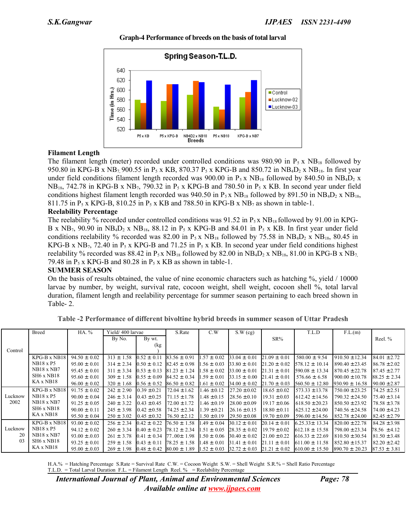

#### **Graph-4 Performance of breeds on the basis of total larval**

# **Filament Length**

The filament length (meter) recorded under controlled conditions was 980.90 in  $P_5$  x NB<sub>18</sub> followed by 950.80 in KPG-B x NB<sub>7</sub>, 900.55 in P<sub>5</sub> x KB, 870.37 P<sub>5</sub> x KPG-B and 850.72 in NB<sub>4</sub>D<sub>2</sub> x NB<sub>18</sub>. In first year under field conditions filament length recorded was 900.00 in  $P_5 x N B_{18}$  followed by 840.50 in NB<sub>4</sub>D<sub>2</sub> x  $NB_{18}$ , 742.78 in KPG-B x NB<sub>7</sub>, 790.32 in P<sub>5</sub> x KPG-B and 780.50 in P<sub>5</sub> x KB. In second year under field conditions highest filament length recorded was 940.50 in  $P_5x$  NB<sub>18</sub> followed by 891.50 in NB<sub>4</sub>D<sub>2</sub> x NB<sub>18</sub>, 811.75 in P<sub>5</sub> x KPG-B, 810.25 in P<sub>5</sub> x KB and 788.50 in KPG-B x NB<sub>7</sub> as shown in table-1.

### **Reelability Percentage**

The reelability % recorded under controlled conditions was  $91.52$  in P<sub>5</sub> x NB<sub>18</sub> followed by  $91.00$  in KPG-B x  $NB_7$ , 90.90 in  $NB_4D_2$  x  $NB_{18}$ , 88.12 in P<sub>5</sub> x KPG-B and 84.01 in P<sub>5</sub> x KB. In first year under field conditions reelability % recorded was 82.00 in  $P_5 x NB_{18}$  followed by 75.58 in NB<sub>4</sub>D<sub>2</sub> x NB<sub>18</sub>, 80.45 in KPG-B x NB<sub>7</sub>, 72.40 in P<sub>5</sub> x KPG-B and 71.25 in P<sub>5</sub> x KB. In second year under field conditions highest reelability % recorded was 88.42 in P<sub>5</sub> x NB<sub>18</sub> followed by 82.00 in NB<sub>4</sub>D<sub>2</sub> x NB<sub>18</sub>, 81.00 in KPG-B x NB<sub>7</sub>, 79.48 in  $P_5$  x KPG-B and 80.28 in  $P_5$  x KB as shown in table-1.

# **SUMMER SEASON**

On the basis of results obtained, the value of nine economic characters such as hatching %, yield / 10000 larvae by number, by weight, survival rate, cocoon weight, shell weight, cocoon shell %, total larval duration, filament length and reelability percentage for summer season pertaining to each breed shown in Table- 2.

|                 | Breed                              | HA. %             | Yield/400 larvae |                  | S.Rate                            | C.W             | S.W(cg)           |                   | T.L.D                                                                | F.L.(m)            |                  |
|-----------------|------------------------------------|-------------------|------------------|------------------|-----------------------------------|-----------------|-------------------|-------------------|----------------------------------------------------------------------|--------------------|------------------|
|                 |                                    |                   | By No.           | By wt.           |                                   |                 |                   | $SR\%$            |                                                                      |                    | Reel. %          |
|                 |                                    |                   |                  | (kg              |                                   |                 |                   |                   |                                                                      |                    |                  |
| Control         |                                    |                   |                  |                  |                                   |                 |                   |                   |                                                                      |                    |                  |
|                 | KPG-B x NB18                       | $94.50 \pm 0.02$  | $313 \pm 1.58$   | $0.52 \pm 0.11$  | $83.56 \pm 0.91$                  | $.57 \pm 0.02$  | $33.04 \pm 0.01$  | $21.09 \pm 0.01$  | $580.00 \pm 9.54$                                                    | $910.50 \pm 12.34$ | $84.01 \pm 2.72$ |
|                 | <b>NB18 x P5</b>                   | $95.00 \pm 0.01$  | $314 \pm 2.34$   | $0.50 \pm 0.12$  | $82.45 \pm 0.98$                  | $1.56 \pm 0.03$ | $33.80 \pm 0.01$  | $121.20 \pm 0.02$ | $578.12 \pm 10.14$                                                   | $890.40 \pm 23.45$ | $86.78 \pm 2.02$ |
|                 | <b>NB18 x NB7</b>                  | $95.45 \pm 0.01$  | $311 \pm 3.34$   | $10.53 \pm 0.13$ | $81.23 \pm 1.24$                  | $.58 \pm 0.02$  | $33.00 \pm 0.01$  | $21.31 \pm 0.01$  | $590.08 \pm 13.34$                                                   | $870.45 \pm 22.78$ | $87.45 \pm 2.77$ |
|                 | SH <sub>6</sub> x N <sub>B18</sub> | $95.60 \pm 0.01$  | $309 \pm 1.58$   | $0.55 \pm 0.09$  | $84.52 \pm 0.34$                  | $.59 \pm 0.01$  | $33.15 \pm 0.00$  | $21.41 \pm 0.01$  | $576.66 \pm 6.58$                                                    | $900.00 \pm 10.78$ | $88.25 \pm 2.34$ |
|                 | KA x NB18                          | $96.00 \pm 0.02$  | $320 \pm 1.68$   | $0.56 \pm 0.52$  | $86.50 \pm 0.82$                  | $1.61 \pm 0.02$ | $34.00 \pm 0.02$  | $21.70 \pm 0.03$  | $560.50 \pm 12.80$                                                   | $930.90 \pm 16.58$ | $90.00 \pm 2.87$ |
| Lucknow<br>2002 | KPG-B x NB18                       | $91.75 \pm 0.02$  | $242 \pm 2.90$   | $0.39 \pm 0.21$  | $72.04 \pm 1.62$                  | $.46 \pm 0.12$  | $127.20 \pm 0.02$ | $18.65 \pm 0.02$  | $573.33 \pm 13.78$                                                   | $750.00 \pm 23.25$ | $74.25 \pm 2.51$ |
|                 | <b>NB18 x P5</b>                   | $90.00 \pm 0.04$  | $246 \pm 3.14$   | $10.43 \pm 0.25$ | $171.15 \pm 1.78$                 | $1.48 \pm 0.15$ | $28.56 \pm 0.10$  | $19.31 \pm 0.03$  | $612.42 \pm 14.56$                                                   | $790.32 \pm 24.50$ | $75.40 \pm 3.14$ |
|                 | <b>NB18 x NB7</b>                  | $91.25 \pm 0.05$  | $240 \pm 3.22$   | $0.43 \pm 0.45$  | $72.00 \pm 1.72$                  | $.46 \pm 0.19$  | $128.00 \pm 0.09$ | $19.17 \pm 0.06$  | $618.50 \pm 20.23$                                                   | $850.50 \pm 23.92$ | $78.58 \pm 3.78$ |
|                 | SH <sub>6</sub> x N <sub>B18</sub> | $90.00 \pm 0.11$  | $245 \pm 3.98$   | $10.42 \pm 0.58$ | $74.25 \pm 2.34$                  | $1.39 \pm 0.21$ | $126.16 \pm 0.15$ | $18.80 \pm 0.11$  | $625.12 \pm 24.00$                                                   | $740.56 \pm 24.58$ | $74.00 \pm 4.23$ |
|                 | KA x NB18                          | $95.50 \pm 0.04$  | $250 \pm 3.02$   | $0.45 \pm 0.32$  | $76.50 \pm 2.12$                  | $1.50 \pm 0.19$ | $29.50 \pm 0.08$  | $19.70 \pm 0.09$  | $596.00 \pm 14.56$                                                   | $852.78 \pm 24.00$ | $82.45 \pm 2.79$ |
| Lucknow         | $KPG-B \times NB18$                | $93.00 \pm 0.02$  | $256 \pm 2.34$   | $0.42 \pm 0.22$  | $76.50 \pm 1.58$                  | $.49 \pm 0.04$  | $30.12 \pm 0.01$  | $20.14 \pm 0.01$  | $6.25.33 \pm 13.34$                                                  | $820.00 \pm 22.78$ | $84.28 \pm 3.98$ |
|                 | <b>NB18</b> x P5                   | $94.12 \pm 0.02$  | $260 \pm 3.34$   | $0.40 \pm 0.23$  | $78.12 \pm 2.34$                  | $.51 \pm 0.05$  | $28.35 \pm 0.02$  | $19.79 \pm 0.02$  | $612.18 \pm 15.58$                                                   | $798.00 \pm 23.34$ | 78.56 ± 4.12     |
| 20              | $NB18 \times NB7$                  | $93.00 \pm .0.03$ | $261 \pm 3.78$   | $0.41 \pm 0.34$  | 77.00± 1.98                       | $1.50 \pm 0.06$ | $30.40 \pm 0.02$  | $21.00 \pm 0.22$  | $616.33 \pm 22.69$                                                   | $810.50 \pm 30.54$ | $81.50 \pm 3.48$ |
| 03              | SH <sub>6</sub> x N <sub>B18</sub> | $93.25 \pm 0.01$  | $259 \pm 1.58$   | $0.43 \pm 0.11$  | $78.25 \pm 1.58$                  | $.48 \pm 0.01$  | $31.41 \pm 0.01$  | $21.11 \pm 0.01$  | $1611.00 \pm 11.58$                                                  | $852.80 \pm 15.37$ | $82.20 \pm 2.42$ |
|                 | KA x NB18                          | $95.00 \pm .0.03$ | $269 \pm 1.98$   |                  | $0.48 \pm 0.42$ $ 80.00 \pm 1.89$ |                 |                   |                   | $1.52 \pm 0.03$ $32.72 \pm 0.03$ $21.21 \pm 0.02$ $610.00 \pm 15.50$ | $890.70 \pm 20.23$ | $87.53 \pm 3.81$ |

**Table -2 Performance of different bivoltine hybrid breeds in summer season of Uttar Pradesh**

H.A.% = Hatching Percentage S.Rate = Survival Rate C.W. = Cocoon Weight S.W. = Shell Weight S.R.% = Shell Ratio Percentage T.L.D. = Total Larval Duration F.L. = Filament Length Reel. % = Reelability Percentage

*International Journal of Plant, Animal and Environmental Sciences Page: 78 Available online at [www.ijpaes.com](http://www.ijpaes.com/)*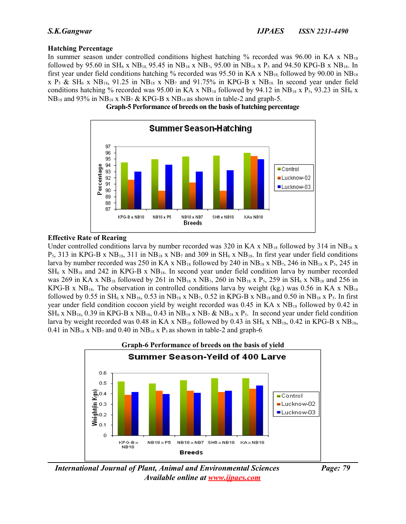# **Hatching Percentage**

In summer season under controlled conditions highest hatching % recorded was 96.00 in KA x  $NB_{18}$ followed by 95.60 in  $SH_6$  x  $NB_{18}$ , 95.45 in  $NB_{18}$  x  $NB_7$ , 95.00 in  $NB_{18}$  x  $P_5$  and 94.50 KPG-B x  $NB_{18}$ . In first year under field conditions hatching % recorded was 95.50 in KA x  $NB_{18}$  followed by 90.00 in  $NB_{18}$ x  $P_5$  & SH<sub>6</sub> x NB<sub>18</sub>, 91.25 in NB<sub>18</sub> x NB<sub>7</sub> and 91.75% in KPG-B x NB<sub>18</sub>. In second year under field conditions hatching % recorded was 95.00 in KA x  $NB_{18}$  followed by 94.12 in  $NB_{18}$  x P<sub>5</sub>, 93.23 in SH<sub>6</sub> x  $NB_{18}$  and 93% in  $NB_{18}$  x  $NB_7$  & KPG-B x  $NB_{18}$  as shown in table-2 and graph-5.





### **Effective Rate of Rearing**

Under controlled conditions larva by number recorded was 320 in KA x  $NB_{18}$  followed by 314 in  $NB_{18}$  x  $P_5$ , 313 in KPG-B x NB<sub>18</sub>, 311 in NB<sub>18</sub> x NB<sub>7</sub> and 309 in SH<sub>6</sub> x NB<sub>18</sub>. In first year under field conditions larva by number recorded was 250 in KA x  $NB_{18}$  followed by 240 in  $NB_{18}$  x  $NB_7$ , 246 in  $NB_{18}$  x  $P_5$ , 245 in  $SH_6$  x  $NB_{18}$  and 242 in KPG-B x  $NB_{18}$ . In second year under field condition larva by number recorded was 269 in KA x NB<sub>18</sub> followed by 261 in NB<sub>18</sub> x NB<sub>7</sub>, 260 in NB<sub>18</sub> x P<sub>5</sub>, 259 in SH<sub>6</sub> x NB<sub>18</sub> and 256 in KPG-B x NB<sub>18</sub>. The observation in controlled conditions larva by weight (kg.) was 0.56 in KA x NB<sub>18</sub> followed by 0.55 in SH<sub>6</sub> x NB<sub>18</sub>, 0.53 in NB<sub>18</sub> x NB<sub>7</sub>, 0.52 in KPG-B x NB<sub>18</sub> and 0.50 in NB<sub>18</sub> x P<sub>5</sub>. In first year under field condition cocoon yield by weight recorded was  $0.45$  in KA x  $NB_{18}$  followed by  $0.42$  in  $SH_6$  x NB<sub>18</sub>, 0.39 in KPG-B x NB<sub>18</sub>, 0.43 in NB<sub>18</sub> x NB<sub>7</sub> & NB<sub>18</sub> x P<sub>5</sub>. In second year under field condition larva by weight recorded was 0.48 in KA x  $NB_{18}$  followed by 0.43 in  $SH_6$  x  $NB_{18}$ , 0.42 in KPG-B x  $NB_{18}$ , 0.41 in  $NB_{18}$  x  $NB_7$  and 0.40 in  $NB_{18}$  x  $P_5$  as shown in table-2 and graph-6.



*International Journal of Plant, Animal and Environmental Sciences Page: 79 Available online at [www.ijpaes.com](http://www.ijpaes.com/)*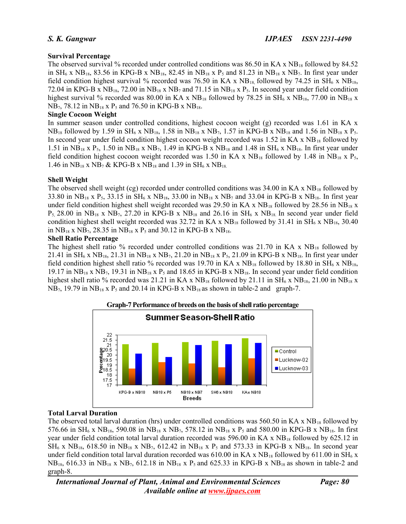# **Survival Percentage**

The observed survival % recorded under controlled conditions was 86.50 in KA x  $NB_{18}$  followed by 84.52 in  $SH_6$  x  $NB_{18}$ , 83.56 in KPG-B x  $NB_{18}$ , 82.45 in  $NB_{18}$  x  $P_5$  and 81.23 in  $NB_{18}$  x  $NB_7$ . In first year under field condition highest survival % recorded was 76.50 in KA x  $NB_{18}$ , followed by 74.25 in SH<sub>6</sub> x NB<sub>18</sub>, 72.04 in KPG-B x NB<sub>18</sub>, 72.00 in NB<sub>18</sub> x NB<sub>7</sub> and 71.15 in NB<sub>18</sub> x P<sub>5</sub>. In second year under field condition highest survival % recorded was 80.00 in KA x  $NB_{18}$  followed by 78.25 in SH<sub>6</sub> x  $NB_{18}$ , 77.00 in NB<sub>18</sub> x  $NB_7$ , 78.12 in  $NB_{18}$  x  $P_5$  and 76.50 in KPG-B x  $NB_{18}$ .

# **Single Cocoon Weight**

In summer season under controlled conditions, highest cocoon weight (g) recorded was 1.61 in KA x  $NB_{18}$  followed by 1.59 in  $SH_6$  x  $NB_{18}$ , 1.58 in  $NB_{18}$  x  $NB_7$ , 1.57 in KPG-B x  $NB_{18}$  and 1.56 in  $NB_{18}$  x  $P_5$ . In second year under field condition highest cocoon weight recorded was 1.52 in KA x NB<sub>18</sub> followed by 1.51 in NB<sub>18</sub> x P<sub>5</sub>, 1.50 in NB<sub>18</sub> x NB<sub>7</sub>, 1.49 in KPG-B x NB<sub>18</sub> and 1.48 in SH<sub>6</sub> x NB<sub>18</sub>. In first year under field condition highest cocoon weight recorded was 1.50 in KA x  $NB_{18}$  followed by 1.48 in  $NB_{18}$  x  $P_5$ , 1.46 in  $NB_{18}$  x  $NB_7$  & KPG-B x  $NB_{18}$  and 1.39 in  $SH_6$  x  $NB_{18}$ .

### **Shell Weight**

The observed shell weight (cg) recorded under controlled conditions was 34.00 in KA x NB<sub>18</sub> followed by 33.80 in NB<sub>18</sub> x P<sub>5</sub>, 33.15 in SH<sub>6</sub> x NB<sub>18</sub>, 33.00 in NB<sub>18</sub> x NB<sub>7</sub> and 33.04 in KPG-B x NB<sub>18</sub>. In first year under field condition highest shell weight recorded was 29.50 in KA x  $NB_{18}$  followed by 28.56 in  $NB_{18}$  x  $P_5$ , 28.00 in NB<sub>18</sub> x NB<sub>7</sub>, 27.20 in KPG-B x NB<sub>18</sub> and 26.16 in SH<sub>6</sub> x NB<sub>18</sub> In second year under field condition highest shell weight recorded was  $32.72$  in KA x NB<sub>18</sub> followed by  $31.41$  in SH<sub>6</sub> x NB<sub>18</sub>,  $30.40$ in  $NB_{18}$  x  $NB_{7}$ , 28.35 in  $NB_{18}$  x  $P_5$  and 30.12 in KPG-B x  $NB_{18}$ .

### **Shell Ratio Percentage**

The highest shell ratio % recorded under controlled conditions was  $21.70$  in KA x  $NB_{18}$  followed by 21.41 in  $SH_6$  x  $NB_{18}$ , 21.31 in  $NB_{18}$  x  $NB_7$ , 21.20 in  $NB_{18}$  x  $P_5$ , 21.09 in KPG-B x  $NB_{18}$ . In first year under field condition highest shell ratio % recorded was 19.70 in KA x  $NB_{18}$  followed by 18.80 in SH<sub>6</sub> x NB<sub>18</sub>, 19.17 in  $NB_{18}$  x  $NB_7$ , 19.31 in  $NB_{18}$  x  $P_5$  and 18.65 in KPG-B x  $NB_{18}$ . In second year under field condition highest shell ratio % recorded was 21.21 in KA x  $NB_{18}$  followed by 21.11 in SH<sub>6</sub> x  $NB_{18}$ , 21.00 in NB<sub>18</sub> x  $NB_7$ , 19.79 in  $NB_{18}$  x  $P_5$  and 20.14 in KPG-B x  $NB_{18}$  as shown in table-2 and graph-7.



# **Total Larval Duration**

The observed total larval duration (hrs) under controlled conditions was 560.50 in KA x NB<sub>18</sub> followed by 576.66 in SH<sub>6</sub> x NB<sub>18</sub>, 590.08 in NB<sub>18</sub> x NB<sub>7</sub>, 578.12 in NB<sub>18</sub> x P<sub>5</sub> and 580.00 in KPG-B x NB<sub>18</sub>. In first year under field condition total larval duration recorded was 596.00 in KA x  $NB_{18}$  followed by 625.12 in  $SH_6$  x NB<sub>18</sub>, 618.50 in NB<sub>18</sub> x NB<sub>7</sub>, 612.42 in NB<sub>18</sub> x P<sub>5</sub> and 573.33 in KPG-B x NB<sub>18</sub>. In second year under field condition total larval duration recorded was 610.00 in KA x NB<sub>18</sub> followed by 611.00 in SH<sub>6</sub> x  $NB_{18}$ , 616.33 in NB<sub>18</sub> x NB<sub>7</sub>, 612.18 in NB<sub>18</sub> x P<sub>5</sub> and 625.33 in KPG-B x NB<sub>18</sub> as shown in table-2 and graph-8.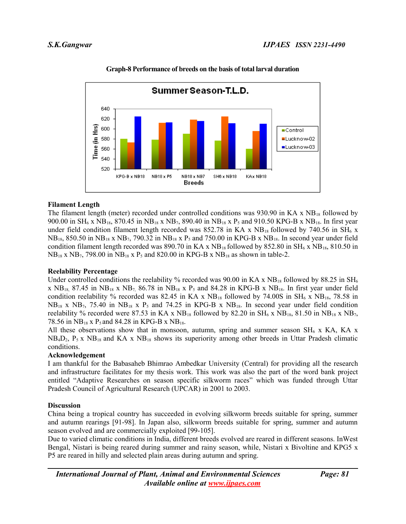

# **Graph-8 Performance of breeds on the basis of total larval duration**

# **Filament Length**

The filament length (meter) recorded under controlled conditions was 930.90 in KA x  $NB_{18}$  followed by 900.00 in SH<sub>6</sub> x NB<sub>18</sub>, 870.45 in NB<sub>18</sub> x NB<sub>7</sub>, 890.40 in NB<sub>18</sub> x P<sub>5</sub> and 910.50 KPG-B x NB<sub>18</sub>. In first year under field condition filament length recorded was 852.78 in KA x  $NB_{18}$  followed by 740.56 in SH<sub>6</sub> x NB18, 850.50 in NB18 x NB7, 790.32 in NB18 x P5 and 750.00 in KPG-B x NB18. In second year under field condition filament length recorded was 890.70 in KA x  $NB_{18}$  followed by 852.80 in SH<sub>6</sub> x NB<sub>18</sub>, 810.50 in  $NB_{18}$  x  $NB_7$ , 798.00 in  $NB_{18}$  x  $P_5$  and 820.00 in KPG-B x  $NB_{18}$  as shown in table-2.

# **Reelability Percentage**

Under controlled conditions the reelability % recorded was 90.00 in KA x  $NB_{18}$  followed by 88.25 in SH<sub>6</sub> x  $NB_{18}$ , 87.45 in  $NB_{18}$  x  $NB_7$ , 86.78 in  $NB_{18}$  x  $P_5$  and 84.28 in KPG-B x  $NB_{18}$ . In first year under field condition reelability % recorded was 82.45 in KA x  $NB_{18}$  followed by 74.00S in SH<sub>6</sub> x  $NB_{18}$ , 78.58 in  $NB_{18}$  x  $NB_{7}$ , 75.40 in  $NB_{18}$  x  $P_5$  and 74.25 in KPG-B x  $NB_{18}$ . In second year under field condition reelability % recorded were 87.53 in KA x  $NB_{18}$  followed by 82.20 in  $SH_6$  x  $NB_{18}$ , 81.50 in  $NB_{18}$  x  $NB_7$ , 78.56 in  $NB_{18}$  x P<sub>5</sub> and 84.28 in KPG-B x  $NB_{18}$ .

All these observations show that in monsoon, autumn, spring and summer season  $SH_6$  x KA, KA x NB4D2, P5 x NB18 and KA x NB18 shows its superiority among other breeds in Uttar Pradesh climatic conditions.

# **Acknowledgement**

I am thankful for the Babasaheb Bhimrao Ambedkar University (Central) for providing all the research and infrastructure facilitates for my thesis work. This work was also the part of the word bank project entitled "Adaptive Researches on season specific silkworm races" which was funded through Uttar Pradesh Council of Agricultural Research (UPCAR) in 2001 to 2003.

# **Discussion**

China being a tropical country has succeeded in evolving silkworm breeds suitable for spring, summer and autumn rearings [91-98]. In Japan also, silkworm breeds suitable for spring, summer and autumn season evolved and are commercially exploited [99-105].

Due to varied climatic conditions in India, different breeds evolved are reared in different seasons. InWest Bengal, Nistari is being reared during summer and rainy season, while, Nistari x Bivoltine and KPG5 x P5 are reared in hilly and selected plain areas during autumn and spring.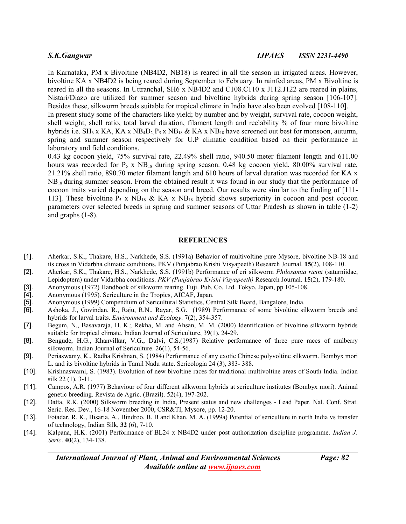In Karnataka, PM x Bivoltine (NB4D2, NB18) is reared in all the season in irrigated areas. However, bivoltine KA x NB4D2 is being reared during September to February. In rainfed areas, PM x Bivoltine is reared in all the seasons. In Uttranchal, SH6 x NB4D2 and C108.C110 x J112.J122 are reared in plains, Nistari/Diazo are utilized for summer season and bivoltine hybrids during spring season [106-107]. Besides these, silkworm breeds suitable for tropical climate in India have also been evolved [108-110].

In present study some of the characters like yield; by number and by weight, survival rate, cocoon weight, shell weight, shell ratio, total larval duration, filament length and reelability % of four more bivoltine hybrids i.e. SH<sub>6</sub> x KA, KA x NB<sub>4</sub>D<sub>2</sub>, P<sub>5</sub> x NB<sub>18</sub> & KA x NB<sub>18</sub> have screened out best for monsoon, autumn, spring and summer season respectively for U.P climatic condition based on their performance in laboratory and field conditions.

0.43 kg cocoon yield, 75% survival rate, 22.49% shell ratio, 940.50 meter filament length and 611.00 hours was recorded for  $P_5$  x  $NB_{18}$  during spring season. 0.48 kg cocoon yield, 80.00% survival rate, 21.21% shell ratio, 890.70 meter filament length and 610 hours of larval duration was recorded for KA x  $NB_{18}$  during summer season. From the obtained result it was found in our study that the performance of cocoon traits varied depending on the season and breed. Our results were similar to the finding of [111- 113]. These bivoltine  $P_5$  x NB<sub>18</sub> & KA x NB<sub>18</sub> hybrid shows superiority in cocoon and post cocoon parameters over selected breeds in spring and summer seasons of Uttar Pradesh as shown in table (1-2) and graphs (1-8).

#### **REFERENCES**

- [1]. Aherkar, S.K., Thakare, H.S., Narkhede, S.S. (1991a) Behavior of multivoltine pure Mysore, bivoltine NB-18 and its cross in Vidarbha climatic conditions. PKV (Punjabrao Krishi Visyapeeth) Research Journal. **15**(2), 108-110.
- [2]. Aherkar, S.K., Thakare, H.S., Narkhede, S.S. (1991b) Performance of eri silkworm *Philosamia ricini* (saturniidae, Lepidoptera) under Vidarbha conditions. *PKV (Punjabrao Krishi Visyapeeth)* Research Journal. **15**(2), 179-180.
- [3]. Anonymous (1972) Handbook of silkworm rearing. Fuji. Pub. Co. Ltd. Tokyo, Japan, pp 105-108.
- 
- [5]. Anonymous (1999) Compendium of Sericultural Statistics, Central Silk Board, Bangalore, India.
- [4]. Anonymous (1995). Sericulture in the Tropics, AICAF, Japan.<br>
[5]. Anonymous (1999) Compendium of Sericultural Statistics, Cer<br>
[6]. Ashoka, J., Govindan, R., Raju, R.N., Rayar, S.G. (1989) F [6]. Ashoka, J., Govindan, R., Raju, R.N., Rayar, S.G. (1989) Performance of some bivoltine silkworm breeds and hybrids for larval traits. *Environment and Ecology*. 7(2), 354-357.
- [7]. Begum, N., Basavaraja, H. K.; Rekha, M. and Ahsan, M. M. (2000) Identification of bivoltine silkworm hybrids suitable for tropical climate. Indian Journal of Sericulture, 39(1), 24-29.
- [8]. Bengude, H.G., Khanvilkar, V.G., Dalvi, C.S.(1987) Relative performance of three pure races of mulberry silkworm. Indian Journal of Sericulture. 26(1), 54-56.
- [9]. Periaswamy, K., Radha Krishnan, S. (1984) Performance of any exotic Chinese polyvoltine silkworm. Bombyx mori L. and its bivoltine hybrids in Tamil Nadu state. Sericologia 24 (3), 383- 388.
- [10]. Krishnaswami, S. (1983). Evolution of new bivoltine races for traditional multivoltine areas of South India. Indian silk 22 (1), 3-11.
- [11]. Campos, A.R. (1977) Behaviour of four different silkworm hybrids at sericulture institutes (Bombyx mori). Animal genetic breeding. Revista de Agric. (Brazil). 52(4), 197-202.
- [12]. Datta, R.K. (2000) Silkworm breeding in India, Present status and new challenges Lead Paper. Nal. Conf. Strat. Seric. Res. Dev., 16-18 November 2000, CSR&TI, Mysore, pp. 12-20.
- [13]. Fotadar, R. K., Bisaria, A., Bindroo, B. B and Khan, M. A. (1999a) Potential of sericulture in north India vs transfer of technology, Indian Silk, **32** (6), 7-10.
- [14]. Kalpana, H.K. (2001) Performance of BL24 x NB4D2 under post authorization discipline programme. *Indian J. Seric*. **40**(2), 134-138.

*International Journal of Plant, Animal and Environmental Sciences Page: 82 Available online at [www.ijpaes.com](http://www.ijpaes.com/)*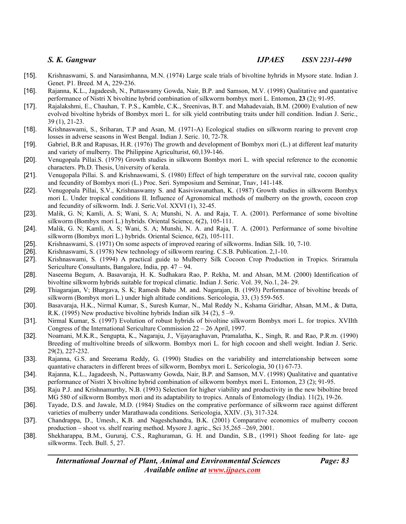- [15]. Krishnaswami, S. and Narasimhanna, M.N. (1974) Large scale trials of bivoltine hyhrids in Mysore state. Indian J. Genet. P1. Breed. M A, 229-236.
- [16]. Rajanna, K.L., Jagadeesh, N., Puttaswamy Gowda, Nair, B.P. and Samson, M.V. (1998) Qualitative and quantative performance of Nistri X bivoltine hybrid combination of silkworm bombyx mori L. Entomon, **23** (2); 91-95.
- [17]. Rajalakshmi, E., Chauhan, T. P.S., Kamble, C.K., Sreenivas, B.T. and Mahadevaiah, B.M. (2000) Evalution of new evolved bivoltine hybrids of Bombyx mori L. for silk yield contributing traits under hill condition. Indian J. Seric., 39 (1), 21-23.
- [18]. Krishnaswami, S., Sriharan, T.P and Asan, M. (1971-A) Ecological studies on silkworm rearing to prevent crop losses in adverse seasons in West Bengal. Indian J. Seric. 10, 72-78.
- [19]. Gabriel, B.R and Rapusas, H.R. (1976) The growth and development of Bombyx mori (L.) at different leaf maturity and variety of mulberry. The Philippine Agriculturist, 60,139-146.
- [20]. Venugopala Pillai.S. (1979) Growth studies in silkworm Bombyx mori L. with special reference to the economic characters. Ph.D. Thesis, University of kerala.
- [21]. Venugopala Pillai. S. and Krishnaswami, S. (1980) Effect of high temperature on the survival rate, cocoon quality and fecundity of Bombyx mori (L.) Proc. Seri. Symposium and Seminar, Tnav, 141-148.
- [22]. Venugopala Pillai, S.V., Krishnaswamy S. and Kasiviswanathan, K. (1987) Growth studies in silkworm Bombyx mori L. Under tropical conditions II. Influence of Agronomical methods of mulberry on the growth, cocoon crop and fecundity of silkworm. Indi. J. Seric.Vol. XXVI (1), 32-45.
- [23]. Malik, G. N; Kamli, A. S; Wani, S. A; Munshi, N. A. and Raja, T. A. (2001). Performance of some bivoltine silkworm (Bombyx mori L.) hybrids. Oriental Science, 6(2), 105-111.
- [24]. Malik, G. N; Kamli, A. S; Wani, S. A; Munshi, N. A. and Raja, T. A. (2001). Performance of some bivoltine silkworm (Bombyx mori L.) hybrids. Oriental Science, 6(2), 105-111.
- [25]. Krishnaswami, S. (1971) On some aspects of improved rearing of silkworms. Indian Silk. 10, 7-10.
- [26]. Krishnaswami, S. (1978) New technology of silkworm rearing. C.S.B. Publication. 2,1-10.
- [27]. Krishnaswami, S. (1994) A practical guide to Mulberry Silk Cocoon Crop Production in Tropics. Sriramula Sericulture Consultants, Bangalore, India, pp. 47 – 94.
- [28]. Naseema Begum, A. Basavaraja, H. K. Sudhakara Rao, P. Rekha, M. and Ahsan, M.M. (2000) Identification of bivoltine silkworm hybrids suitable for tropical climatic. Indian J. Seric. Vol. 39, No.1, 24- 29.
- [29]. Thiagarajan, V; Bhargava, S. K; Ramesh Babu .M. and. Nagarajan, B. (1993) Performance of bivoltine breeds of silkworm (Bombyx mori L.) under high altitude conditions. Sericologia, 33, (3) 559-565.
- [30]. Basavaraja, H.K., Nirmal Kumar, S., Suresh Kumar, N., Mal Reddy N., Kshama Giridhar, Ahsan, M.M., & Datta, R.K. (1995) New productive bivoltine hybrids Indian silk 34 (2), 5 –9.
- [31]. Nirmal Kumar, S. (1997) Evolution of robust hybrids of bivoltine silkworm Bombyx mori L. for tropics. XVIIth Congress of the International Sericulture Commission 22 – 26 April, 1997.
- [32]. Noamani, M.K.R., Sengupta, K., Nagaraju, J., Vijayaraghavan, Pramalatha, K., Singh, R. and Rao, P.R.m. (1990) Breeding of multivoltine breeds of silkworm. Bombyx mori L. for high cocoon and shell weight. Indian J. Seric. 29(2), 227-232.
- [33]. Rajanna, G.S. and Sreerama Reddy, G. (1990) Studies on the variability and interrelationship between some quantative characters in different brees of silkworm, Bombyx mori L. Sericologia, 30 (1) 67-73.
- [34]. Rajanna, K.L., Jagadeesh, N., Puttaswamy Gowda, Nair, B.P. and Samson, M.V. (1998) Qualitative and quantative performance of Nistri X bivoltine hybrid combination of silkworm bombyx mori L. Entomon, 23 (2); 91-95.
- [35]. Raju P.J. and Krishnamurthy, N.B. (1993) Selection for higher viability and productivity in the new biboltine breed MG 580 of silkworm Bombyx mori and its adaptability to tropics. Annals of Entomology (India). 11(2), 19-26.
- [36]. Tayade, D.S. and Jawale, M.D. (1984) Studies on the comprative performance of silkworm race against different varieties of mulberry under Marathawada conditions. Sericologia, XXIV. (3), 317-324.
- [37]. Chandrappa, D., Umesh., K.B. and Nageshchandra, B.K. (2001) Comparative economics of mulberry cocoon production – shoot vs. shelf rearing method. Mysore J. agric., Sci 35,265 –269, 2001.
- [38]. Shekharappa, B.M., Gururaj, C.S., Raghuraman, G. H. and Dandin, S.B., (1991) Shoot feeding for late- age silkworms. Tech. Bull. 5, 27.

*International Journal of Plant, Animal and Environmental Sciences Page: 83 Available online at [www.ijpaes.com](http://www.ijpaes.com/)*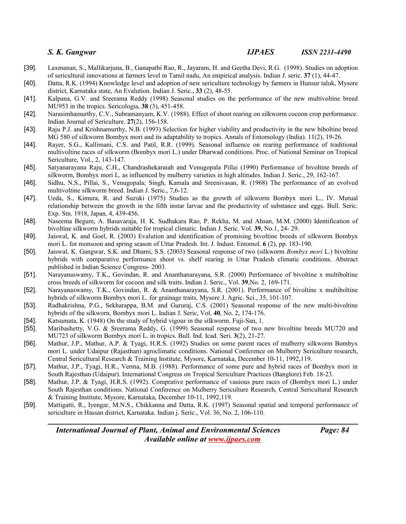- [39]. Laxmanan, S., Mallikarjuna, B., Ganapathi Rao, R., Jayaram, H. and Geetha Devi, R.G. (1998). Studies on adoption of sericultural innovations at farmers level in Tamil nadu, An empirical analysis. Indian J. seric. **37** (1), 44-47.
- [40]. Datta, R.K. (1994) Knowledge level and adoption of new sericulture technology by farmers in Hunsur taluk, Mysore district, Karnataka state, An Evalution. Indian J. Seric., **33** (2), 48-55.
- [41]. Kalpana, G.V. and Sreerama Reddy (1998) Seasonal studies on the performance of the new multivoltine breed MU953 in the tropics. Sericologia, **38** (3), 451-458.
- [42]. Narasimhamurthy, C.V., Subramanyam, K.V. (1988). Effect of shoot rearing on silkworm cocoon crop performance. Indian Journal of Sericulture. **27**(2), 156-158.
- [43]. Raju P.J. and Krishnamurthy, N.B. (1993) Selection for higher viability and productivity in the new biboltine breed MG 580 of silkworm Bombyx mori and its adaptability to tropics. Annals of Entomology (India). 11(2), 19-26.
- [44]. Rayer, S.G., Kallimani, C.S. and Patil, R.R. (1999). Seasonal influence on rearing performance of traditional multivoltine races of silkworm (Bombyx mori L.) under Dharwad conditions. Proc. of National Seminar on Tropical Sericulture, Vol., 2, 143-147.
- [45]. Satyanarayana Raju, C.H., Chandrashekaraiah and Venugopala Pillai (1990) Performance of bivoltine breeds of silkworm, Bombyx mori L. as influenced by mulberry varieties in high altitudes. Indian J. Seric., 29, 162-167.
- [46]. Sidhu, N.S., Pillai, S., Venugopala; Singh, Kamala and Sreenivasan, R. (1968) The performance of an evolved multivoltine silkworm breed. Indian J. Seric., 7,6-12.
- [47]. Ueda, S., Kimura, R. and Suzuki (1975) Studies as the growth of silkworm Bombyx mori L., IV. Mutual relationship between the growth in the fifth instar larvae and the productivity of substance and eggs. Bull. Seric. Exp. Stn. 1918, Japan, 4, 439-456.
- [48]. Naseema Begum, A. Basavaraja, H. K. Sudhakara Rao, P. Rekha, M. and Ahsan, M.M. (2000) Identification of bivoltine silkworm hybrids suitable for tropical climatic. Indian J. Seric. Vol. **39**, No.1, 24- 29.
- [49]. Jaiswal, K. and Goel, R. (2003) Evalution and identification of promising bivoltine breeds of silkworm Bombyx mori L. for monsoon and spring season of Uttar Pradesh. Int. J. Indust. Entomol. **6** (2), pp. 183-190.
- [50]. Jaiswal, K. Gangwar, S.K. and Dhami, S.S. (2003) Seasonal response of two (silkworm *Bombyx mori* L.) bivoltine hybrids with comparative performance shoot vs. shelf rearing in Uttar Pradesh climatic conditions. Abstract published in Indian Science Congress- 2003.
- [51]. Narayanaswamy, T.K., Govindan, R. and Ananthanarayana, S.R. (2000) Performance of bivoltine x multiboltine cross breeds of silkworm for cocoon and silk traits. Indian J. Seric., Vol. **39**,No. 2, 169-171.
- [52]. Narayanaswamy, T.K., Govindan, R. & Ananthanarayana, S.R. (2001). Performance of bivoltine x multiboltine hybrids of silkworm Bombyx mori L. for grainage traits. Mysore J. Agric. Sci., 35, 101-107.
- [53]. Radhakrishna, P.G., Sekharappa, B.M. and Gururaj, C.S. (2001) Seasonal response of the new multi-bivoltine hybrids of the silkworn, Bombyx mori L. Indian J. Seric, Vol. **40**, No. 2, 174-176.
- [54]. Katsumata, K. (1948) On the study of hybrid vigour in the silkworm. Fuji-San, 1.
- [55]. Maribashetty, V.G. & Sreerama Reddy, G. (1999) Seasonal response of two new bivoltine breeds MU720 and MU723 of silkworm Bombyx mori L. in tropics. Bull. Ind. Icad. Seri. **3**(2), 21-27.
- [56]. Mathur, J.P., Mathur, A.P. & Tyagi, H.R.S. (1992) Studies on some parent races of mulberry silkworm Bombyx mori L. under Udaipur (Rajasthan) agroclimatic conditions. National Conference on Mulberry Sericulture research, Central Sericultural Research & Training Institute, Mysore, Karnataka, December 10-11, 1992,119.
- [57]. Mathur, J.P., Tyagi, H.R., Verma, M.B. (1988). Performance of some pure and hybrid races of Bombyx mori in South Rajesthan (Udaipur). International Congress on Tropical Sericulture Practices (Banglore) Feb. 18-23.
- [58]. Mathur, J.P. & Tyagi, H.R.S. (1992). Comprative performance of vauious pure races of (Bombyx mori L.) under South Rajesthan conditions. National Conference on Mulberry Sericulture Research, Central Sericultural Research & Training Institute, Mysore, Karnataka, December 10-11, 1992,119.
- [59]. Mattigatti, R., Iyengar, M.N.S., Chikkanna and Datta, R.K. (1997) Seasonal spatial and temporal performance of sericulture in Hassan district, Karnataka. Indian j. Seric., Vol. 36, No. 2, 106-110.

*International Journal of Plant, Animal and Environmental Sciences Page: 84 Available online at [www.ijpaes.com](http://www.ijpaes.com/)*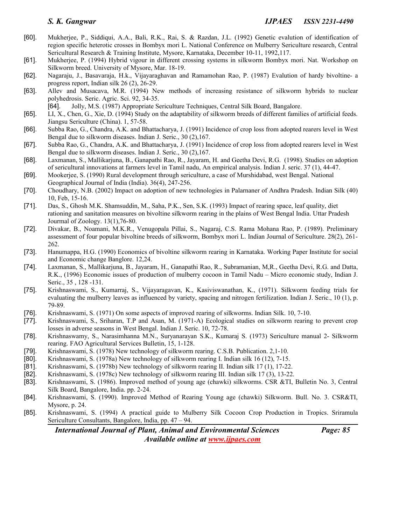- [60]. Mukherjee, P., Siddiqui, A.A., Bali, R.K., Rai, S. & Razdan, J.L. (1992) Genetic evalution of identification of region specific heterotic crosses in Bombyx mori L. National Conference on Mulberry Sericulture research, Central Sericultural Research & Training Institute, Mysore, Karnataka, December 10-11, 1992,117.
- [61]. Mukherjee, P. (1994) Hybrid vigour in different crossing systems in silkworm Bombyx mori. Nat. Workshop on Silkworm breed. University of Mysore, Mar. 18-19.
- [62]. Nagaraju, J., Basavaraja, H.k., Vijayaraghavan and Ramamohan Rao, P. (1987) Evalution of hardy bivoltine- a progress report, Indian silk 26 (2), 26-29.
- [63]. Allev and Musacava, M.R. (1994) New methods of increasing resistance of silkworm hybrids to nuclear polyhedrosis. Seric. Agric. Sci. 92, 34-35.
- [64]. Jolly, M.S. (1987) Appropriate Sericulture Techniques, Central Silk Board, Bangalore.
- [65]. LI, X., Chen, G., Xie, D. (1994) Study on the adaptability of silkworm breeds of different families of artificial feeds. Jiangsu Sericulture (China). 1, 57-58.
- [66]. Subba Rao, G., Chandra, A.K. and Bhattacharya, J. (1991) Incidence of crop loss from adopted rearers level in West Bengal due to silkworm diseases. Indian J. Seric., 30 (2),167.
- [67]. Subba Rao, G., Chandra, A.K. and Bhattacharya, J. (1991) Incidence of crop loss from adopted rearers level in West Bengal due to silkworm diseases. Indian J. Seric., 30 (2),167.
- [68]. Laxmanan, S., Mallikarjuna, B., Ganapathi Rao, R., Jayaram, H. and Geetha Devi, R.G. (1998). Studies on adoption of sericultural innovations at farmers level in Tamil nadu, An empirical analysis. Indian J. seric. 37 (1), 44-47.
- [69]. Mookerjee, S. (1990) Rural development through sericulture, a case of Murshidabad, west Bengal. National Geographical Journal of India (India). 36(4), 247-256.
- [70]. Choudhary, N.B. (2002) Impact on adoption of new technologies in Palarnaner of Andhra Pradesh. Indian Silk (40) 10, Feb, 15-16.
- [71]. Das, S., Ghosh M.K. Shamsuddin, M., Saha, P.K., Sen, S.K. (1993) Impact of rearing space, leaf quality, diet rationing and sanitation measures on bivoltine silkworm rearing in the plains of West Bengal India. Uttar Pradesh Jourmal of Zoology. 13(1),76-80.
- [72]. Divakar, B., Noamani, M.K.R., Venugopala Pillai, S., Nagaraj, C.S. Rama Mohana Rao, P. (1989). Preliminary assessment of four popular bivoltine breeds of silkworm, Bombyx mori L. Indian Journal of Sericulture. 28(2), 261- 262.
- [73]. Hanumappa, H.G. (1990) Economics of bivoltine silkworm rearing in Karnataka. Working Paper Institute for social and Economic change Banglore. 12,24.
- [74]. Laxmanan, S., Mallikarjuna, B., Jayaram, H., Ganapathi Rao, R., Subramanian, M,R., Geetha Devi, R.G. and Datta, R.K., (1996) Economic issues of production of mulberry cocoon in Tamil Nadu – Micro economic study, Indian J. Seric., 35 , 128 -131.
- [75]. Krishnaswami, S., Kumarraj, S., Vijayaragavan, K., Kasiviswanathan, K., (1971). Silkworm feeding trials for evaluating the mulberry leaves as influenced by variety, spacing and nitrogen fertilization. Indian J. Seric., 10 (1), p. 79-89.
- [76]. Krishnaswami, S. (1971) On some aspects of improved rearing of silkworms. Indian Silk. 10, 7-10.
- [77]. Krishnaswami, S., Sriharan, T.P and Asan, M. (1971-A) Ecological studies on silkworm rearing to prevent crop losses in adverse seasons in West Bengal. Indian J. Seric. 10, 72-78.
- [78]. Krishnaswamy, S., Narasimhanna M.N., Suryanarayan S.K., Kumaraj S. (1973) Sericulture manual 2- Silkworm rearing. FAO Agricultural Services Bulletin, 15, 1-128.
- [79]. Krishnaswami, S. (1978) New technology of silkworm rearing. C.S.B. Publication. 2,1-10.
- [80]. Krishnaswami, S. (1978a) New technology of silkworm rearing I. Indian silk 16 (12), 7-15.
- [81]. Krishnaswami, S. (1978b) New technology of silkworm rearing II. Indian silk 17 (1), 17-22.
- [82]. Krishnaswami, S. (1978c) New technology of silkworm rearing III. Indian silk 17 (3), 13-22.
- [83]. Krishnaswami, S. (1986). Improved method of young age (chawki) silkworms. CSR &TI, Bulletin No. 3, Central Silk Board, Bangalore, India. pp. 2-24.
- [84]. Krishnaswami, S. (1990). Improved Method of Rearing Young age (chawki) Silkworm. Bull. No. 3. CSR&TI, Mysore, p. 24.
- [85]. Krishnaswami, S. (1994) A practical guide to Mulberry Silk Cocoon Crop Production in Tropics. Sriramula Sericulture Consultants, Bangalore, India, pp. 47 – 94.

*International Journal of Plant, Animal and Environmental Sciences Page: 85 Available online at [www.ijpaes.com](http://www.ijpaes.com/)*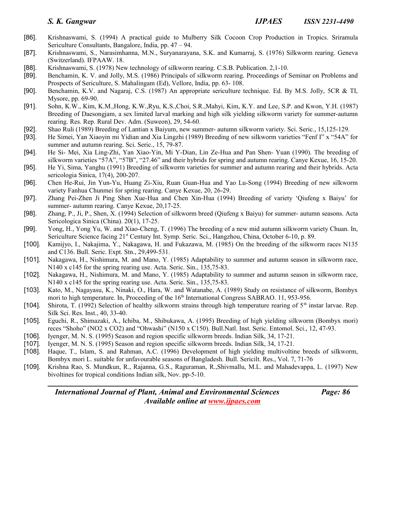- [86]. Krishnaswami, S. (1994) A practical guide to Mulberry Silk Cocoon Crop Production in Tropics. Sriramula Sericulture Consultants, Bangalore, India, pp. 47 – 94.
- [87]. Krishnaswami, S., Narasimhanna, M.N., Suryanarayana, S.K. and Kumarraj, S. (1976) Silkworm rearing. Geneva (Switzerland). IFPAAW. 18.
- [88]. Krishnaswami, S. (1978) New technology of silkworm rearing. C.S.B. Publication. 2,1-10.
- [89]. Benchamin, K. V. and Jolly, M.S. (1986) Principals of silkworm rearing. Proceedings of Seminar on Problems and Prospects of Sericulture, S. Mahalingam (Ed), Vellore, India, pp. 63- 108.
- [90]. Benchamin, K.V. and Nagaraj, C.S. (1987) An appropriate sericulture technique. Ed. By M.S. Jolly, 5CR & TI, Mysore, pp. 69-90.
- [91]. Sohn, K.W., Kim, K.M.,Hong, K.W.,Ryu, K.S.,Choi, S.R.,Mahyi, Kim, K.Y. and Lee, S.P. and Kwon, Y.H. (1987) Breeding of Daesongjam, a sex limited larval marking and high silk yielding silkworm variety for summer-autumn rearing. Res. Rep. Rural Dev. Adm. (Suweon), 29, 54-60.
- [92]. Shao Ruli (1989) Breeding of Lantian x Baiyum, new summer- autumn silkworm variety. Sci. Seric., 15,125-129.
- [93]. He Simei, Yan Xiaoyin mi Yidian and Xia Lingzhi (1989) Breeding of new silkworm varieties "Fenf I" x "54A" for summer and autumn rearing. Sci. Seric., 15, 79-87.
- [94]. He Si- Mei, Xia Ling-Zhi, Yan Xiao-Yin, Mi Y-Dian, Lin Ze-Hua and Pan Shen- Yuan (1990). The breeding of silkworm varieties "57A", "57B", "27.46" and their hybrids for spring and autumn rearing. Canye Kexue, 16, 15-20.
- [95]. He Yi, Sima, Yanghu (1991) Breeding of silkworm varieties for summer and autumn rearing and their hybrids. Acta sericologia Sinica, 17(4), 200-207.
- [96]. Chen He-Rui, Jin Yun-Yu, Huang Zi-Xiu, Ruan Guan-Hua and Yao Lu-Song (1994) Breeding of new silkworm variety Fanhua Chunmei for spring rearing. Canye Kexue, 20, 26-29.
- [97]. Zhang Pei-Zhen Ji Ping Shen Xue-Hua and Chen Xin-Hua (1994) Breeding of variety 'Qiufeng x Baiyu' for summer- autumn rearing. Canye Kexue, 20,17-25.
- [98]. Zhang, P., Ji, P., Shen, X. (1994) Selection of silkworm breed (Qiufeng x Baiyu) for summer- autumn seasons. Acta Sericologica Sinica (China). 20(1), 17-25.
- [99]. Yong, H., Yong Yu, W. and Xiao-Cheng, T. (1996) The breeding of a new mid autumn silkworm variety Chuan. In, Sericulture Science facing 21st Century Int. Symp. Seric. Sci., Hangzhou, China, October 6-10, p. 89.
- [100]. Kamijyo, I., Nakajima, Y., Nakagawa, H. and Fukazawa, M. (1985) On the breeding of the silkworm races N135 and C136. Bull. Seric. Expt. Stn., 29,499-531.
- [101]. Nakagawa, H., Nishimura, M. and Mano, Y. (1985) Adaptability to summer and autumn season in silkworm race, N140 x c145 for the spring rearing use. Acta. Seric. Sin., 135,75-83.
- [102]. Nakagawa, H., Nishimura, M. and Mano, Y. (1985) Adaptability to summer and autumn season in silkworm race, N140 x c145 for the spring rearing use. Acta. Seric. Sin., 135,75-83.
- [103]. Kato, M., Nagayasu, K., Ninaki, O., Hara, W. and Watanabe, A. (1989) Study on resistance of silkworm, Bombyx mori to high temperature. In, Proceeding of the  $16<sup>th</sup>$  International Congress SABRAO. 11, 953-956.
- [104]. Shirota, T. (1992) Selection of healthy silkworm strains through high temperature rearing of  $5<sup>th</sup>$  instar larvae. Rep. Silk Sci. Res. Inst., 40, 33-40.
- [105]. Eguchi, R., Shimazaki, A., Ichiba, M., Shibukawa, A. (1995) Breeding of high yielding silkworm (Bombyx mori) reces "Shoho" (NO2 x CO2) and "Ohwashi" (N150 x C150). Bull.Natl. Inst. Seric. Entomol. Sci., 12, 47-93.
- [106]. Iyenger, M. N. S. (1995) Season and region specific silkworm breeds. Indian Silk, 34, 17-21.
- [107]. Iyenger, M. N. S. (1995) Season and region specific silkworm breeds. Indian Silk, 34, 17-21.
- [108]. Haque, T., Islam, S. and Rahman, A.C. (1996) Development of high yielding multivoltine breeds of silkworm, Bombyx mori L. suitable for unfavourable seasons of Bangladesh. Bull. Sericilt. Res., Vol. 7, 71-76
- [109]. Krishna Rao, S. Mundkun, R., Rajanna, G.S., Raguraman, R.,Shivmallu, M.L. and Mahadevappa, L. (1997) New bivoltines for tropical conditions Indian silk, Nov. pp-5-10.

*International Journal of Plant, Animal and Environmental Sciences Page: 86 Available online at [www.ijpaes.com](http://www.ijpaes.com/)*